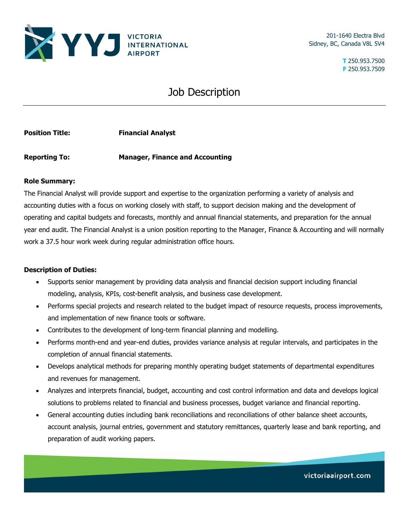

201-1640 Electra Blvd Sidney, BC, Canada V8L 5V4

> **T** 250.953.7500 **F** 250.953.7509

## Job Description

**Position Title:** Financial Analyst

**Reporting To: Manager, Finance and Accounting**

## **Role Summary:**

The Financial Analyst will provide support and expertise to the organization performing a variety of analysis and accounting duties with a focus on working closely with staff, to support decision making and the development of operating and capital budgets and forecasts, monthly and annual financial statements, and preparation for the annual year end audit. The Financial Analyst is a union position reporting to the Manager, Finance & Accounting and will normally work a 37.5 hour work week during regular administration office hours.

## **Description of Duties:**

- Supports senior management by providing data analysis and financial decision support including financial modeling, analysis, KPIs, cost-benefit analysis, and business case development.
- Performs special projects and research related to the budget impact of resource requests, process improvements, and implementation of new finance tools or software.
- Contributes to the development of long-term financial planning and modelling.
- Performs month-end and year-end duties, provides variance analysis at regular intervals, and participates in the completion of annual financial statements.
- Develops analytical methods for preparing monthly operating budget statements of departmental expenditures and revenues for management.
- Analyzes and interprets financial, budget, accounting and cost control information and data and develops logical solutions to problems related to financial and business processes, budget variance and financial reporting.
- General accounting duties including bank reconciliations and reconciliations of other balance sheet accounts, account analysis, journal entries, government and statutory remittances, quarterly lease and bank reporting, and preparation of audit working papers.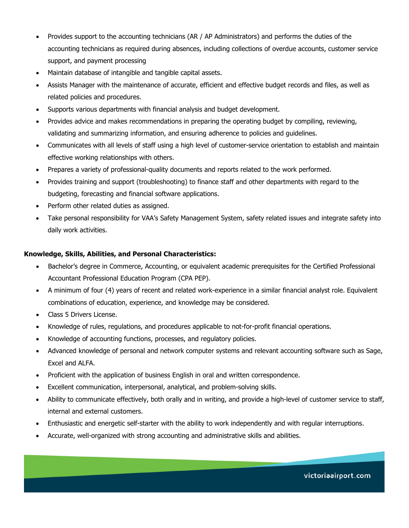- Provides support to the accounting technicians (AR / AP Administrators) and performs the duties of the accounting technicians as required during absences, including collections of overdue accounts, customer service support, and payment processing
- Maintain database of intangible and tangible capital assets.
- Assists Manager with the maintenance of accurate, efficient and effective budget records and files, as well as related policies and procedures.
- Supports various departments with financial analysis and budget development.
- Provides advice and makes recommendations in preparing the operating budget by compiling, reviewing, validating and summarizing information, and ensuring adherence to policies and guidelines.
- Communicates with all levels of staff using a high level of customer-service orientation to establish and maintain effective working relationships with others.
- Prepares a variety of professional-quality documents and reports related to the work performed.
- Provides training and support (troubleshooting) to finance staff and other departments with regard to the budgeting, forecasting and financial software applications.
- Perform other related duties as assigned.
- Take personal responsibility for VAA's Safety Management System, safety related issues and integrate safety into daily work activities.

## **Knowledge, Skills, Abilities, and Personal Characteristics:**

- Bachelor's degree in Commerce, Accounting, or equivalent academic prerequisites for the Certified Professional Accountant Professional Education Program (CPA PEP).
- A minimum of four (4) years of recent and related work-experience in a similar financial analyst role. Equivalent combinations of education, experience, and knowledge may be considered.
- Class 5 Drivers License.
- Knowledge of rules, regulations, and procedures applicable to not-for-profit financial operations.
- Knowledge of accounting functions, processes, and regulatory policies.
- Advanced knowledge of personal and network computer systems and relevant accounting software such as Sage, Excel and ALFA.
- Proficient with the application of business English in oral and written correspondence.
- Excellent communication, interpersonal, analytical, and problem-solving skills.
- Ability to communicate effectively, both orally and in writing, and provide a high-level of customer service to staff, internal and external customers.
- Enthusiastic and energetic self-starter with the ability to work independently and with regular interruptions.
- Accurate, well-organized with strong accounting and administrative skills and abilities.